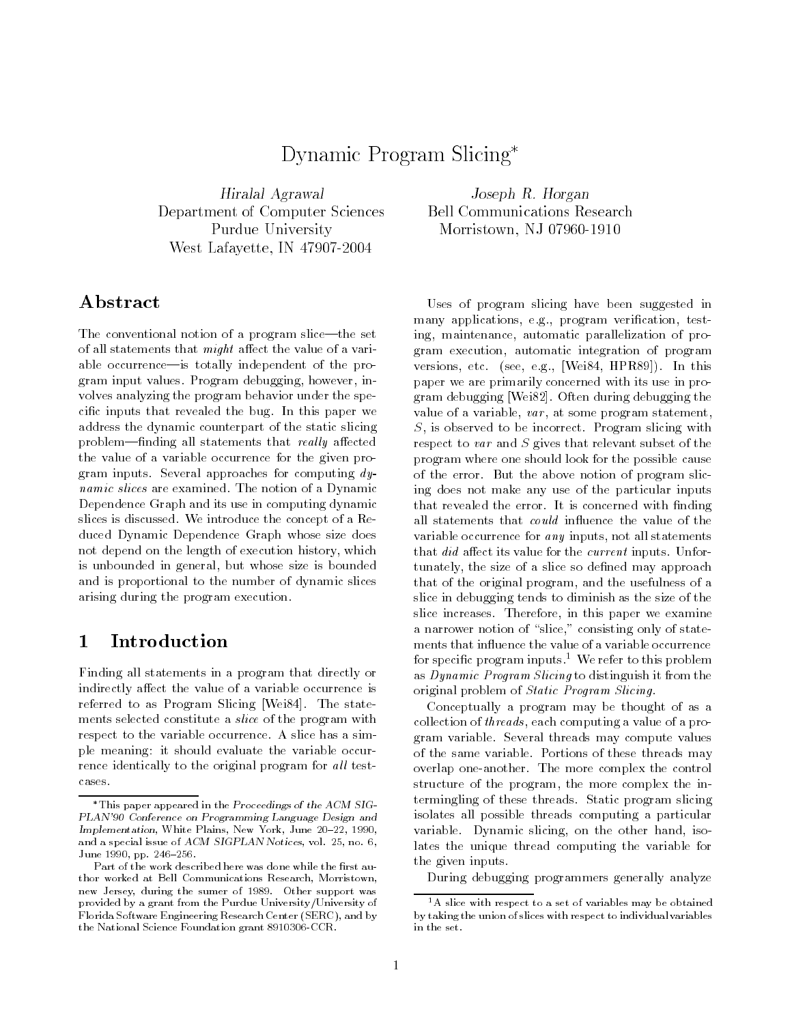# Dynamic Program Slicing

Hiralal Agrawal Department of Computer Sciences Purdue University West Lafayette, IN 47907-2004

Joseph R. Horgan Bell Communications Research Morristown, NJ 07960-1910

# ${\bf Abstract}$

The conventional notion of a program slice—the set of all statements that *might* affect the value of a variable occurrence—is totally independent of the program input values. Program debugging, however, involves analyzing the program behavior under the specic inputs that revealed the bug. In this paper we address the dynamic counterpart of the static slicing problem—finding all statements that really affected the value of a variable occurrence for the given program inputs. Several approaches for computing dynamic slices are examined. The notion of a Dynamic Dependence Graph and its use in computing dynamic slices is discussed. We introduce the concept of a Reduced Dynamic Dependence Graph whose size does not depend on the length of execution history, which is unbounded in general, but whose size is bounded and is proportional to the number of dynamic slices arising during the program execution.

#### $\mathbf{1}$ **Introduction**

Finding all statements in a program that directly or indirectly affect the value of a variable occurrence is referred to as Program Slicing [Wei84]. The state ments selected constitute a slice of the program with respect to the variable occurrence. A slice has a simple meaning: it should evaluate the variable occurrence identically to the original program for all testcases.

Uses of program slicing have been suggested in many applications, e.g., program verification, testing, maintenance, automatic parallelization of program execution, automatic integration of program versions, etc. (see, e.g., [Wei84, HPR89]). In this paper we are primarily concerned with its use in program debugging [Wei82]. Often during debugging the value of a variable,  $var$ , at some program statement,  $S$ , is observed to be incorrect. Program slicing with respect to var and  $S$  gives that relevant subset of the program where one should look for the possible cause of the error. But the above notion of program slicing does not make any use of the particular inputs that revealed the error. It is concerned with finding all statements that *could* influence the value of the variable occurrence for any inputs, not all statements that  $did$  affect its value for the *current* inputs. Unfortunately, the size of a slice so defined may approach that of the original program, and the usefulness of a slice in debugging tends to diminish as the size of the slice increases. Therefore, in this paper we examine a narrower notion of "slice," consisting only of statements that influence the value of a variable occurrence for specific program inputs.<sup>1</sup> We refer to this problem as Dynamic Program Slicing to distinguish it from the original problem of Static Program Slicing.

Conceptually a program may be thought of as a collection of *threads*, each computing a value of a program variable. Several threads may compute values of the same variable. Portions of these threads may overlap one-another. The more complex the control structure of the program, the more complex the intermingling of these threads. Static program slicing isolates all possible threads computing a particular variable. Dynamic slicing, on the other hand, isolates the unique thread computing the variable for the given inputs.

During debugging programmers generally analyze

This paper appeared in the Proceedings of the ACM SIG-PLAN'90 Conference on Programming Language Design and Implementation, White Plains, New York, June 20-22, 1990, and a special issue of ACM SIGPLAN Notices, vol. 25, no. 6, June 1990, pp. 246-256.

Part of the work described here was done while the first author worked at Bell Communications Research, Morristown, new Jersey, during the sumer of 1989. Other support was provided by a grant from the Purdue University/University of Florida Software Engineering Research Center (SERC), and by the National Science Foundation grant 8910306-CCR.

<sup>&</sup>lt;sup>1</sup>A slice with respect to a set of variables may be obtained by taking the union of slices with respect to individual variables in the set.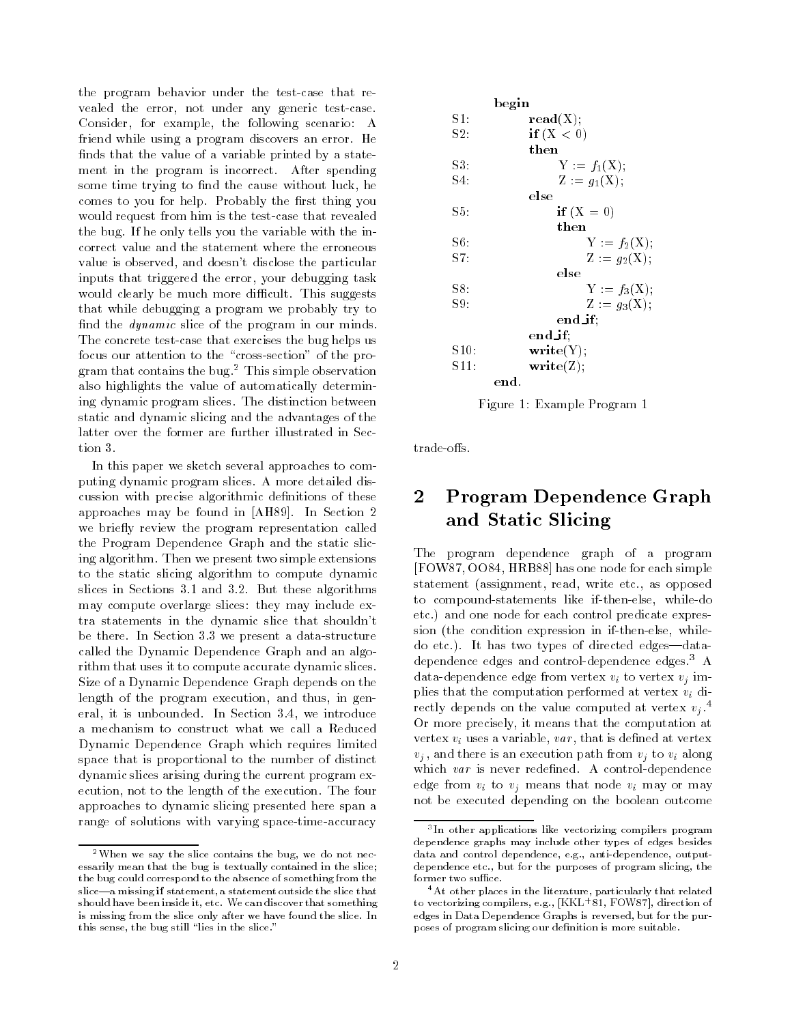the program behavior under the test-case that revealed the error, not under any generic test-case. Consider, for example, the following scenario: A friend while using a program discovers an error. He finds that the value of a variable printed by a statement in the program is incorrect. After spending some time trying to find the cause without luck, he comes to you for help. Probably the first thing you would request from him is the test-case that revealed the bug. If he only tells you the variable with the incorrect value and the statement where the erroneous value is observed, and doesn't disclose the particular inputs that triggered the error, your debugging task would clearly be much more difficult. This suggests that while debugging a program we probably try to find the *dynamic* slice of the program in our minds. The concrete test-case that exercises the bug helps us focus our attention to the "cross-section" of the program that contains the bug.2 This simple observation also highlights the value of automatically determining dynamic program slices. The distinction between static and dynamic slicing and the advantages of the latter over the former are further illustrated in Section 3.

In this paper we sketch several approaches to computing dynamic program slices. A more detailed discussion with precise algorithmic definitions of these approaches may be found in [AH89]. In Section 2 we briefly review the program representation called the Program Dependence Graph and the static slicing algorithm. Then we present two simple extensions to the static slicing algorithm to compute dynamic slices in Sections 3.1 and 3.2. But these algorithms may compute overlarge slices: they may include extra statements in the dynamic slice that shouldn't be there. In Section 3.3 we present a data-structure called the Dynamic Dependence Graph and an algorithm that uses it to compute accurate dynamic slices. Size of a Dynamic Dependence Graph depends on the length of the program execution, and thus, in general, it is unbounded. In Section 3.4, we introduce a mechanism to construct what we call a Reduced Dynamic Dependence Graph which requires limited space that is proportional to the number of distinct dynamic slices arising during the current program execution, not to the length of the execution. The four approaches to dynamic slicing presented here span a range of solutions with varying space-time-accuracy



Figure 1: Example Program 1

trade-offs.

# 2 Program Dependence Graph and Static Slicing

The program dependence graph of a program [FOW87, OO84, HRB88] has one node for each simple statement (assignment, read, write etc., as opposed to compound-statements like if-then-else, while-do etc.) and one node for each control predicate expression (the condition expression in if-then-else, whiledo etc.). It has two types of directed edges-datadependence edges and control-dependence edges.3 A data-dependence edge from vertex  $v_i$  to vertex  $v_j$  implies that the computation performed at vertex  $v_i$  directly depends on the value computed at vertex  $v_i$ .<sup>4</sup> Or more precisely, it means that the computation at vertex  $v_i$  uses a variable, var, that is defined at vertex  $v_i$ , and there is an execution path from  $v_i$  to  $v_i$  along which  $var$  is never redefined. A control-dependence edge from  $v_i$  to  $v_j$  means that node  $v_i$  may or may not be executed depending on the boolean outcome

<sup>2</sup>When we say the slice contains the bug, we do not necessarily mean that the bug is textually contained in the slice; the bug could correspond to the absence of something from the slice—a missing if statement, a statement outside the slice that should have been inside it, etc. We can discover that something is missing from the slice only after we have found the slice. In this sense, the bug still "lies in the slice."

<sup>-</sup>in other applications like vectorizing compilers program dependence graphs may include other types of edges besides data and control dependence, e.g., anti-dependence, outputdependence etc., but for the purposes of program slicing, the former two suffice.

 $4$ At other places in the literature, particularly that related to vectorizing compilers, e.g., [KKL<sup>+</sup> 81, FOW87], direction of edges in Data Dependence Graphs is reversed, but for the purposes of program slicing our definition is more suitable.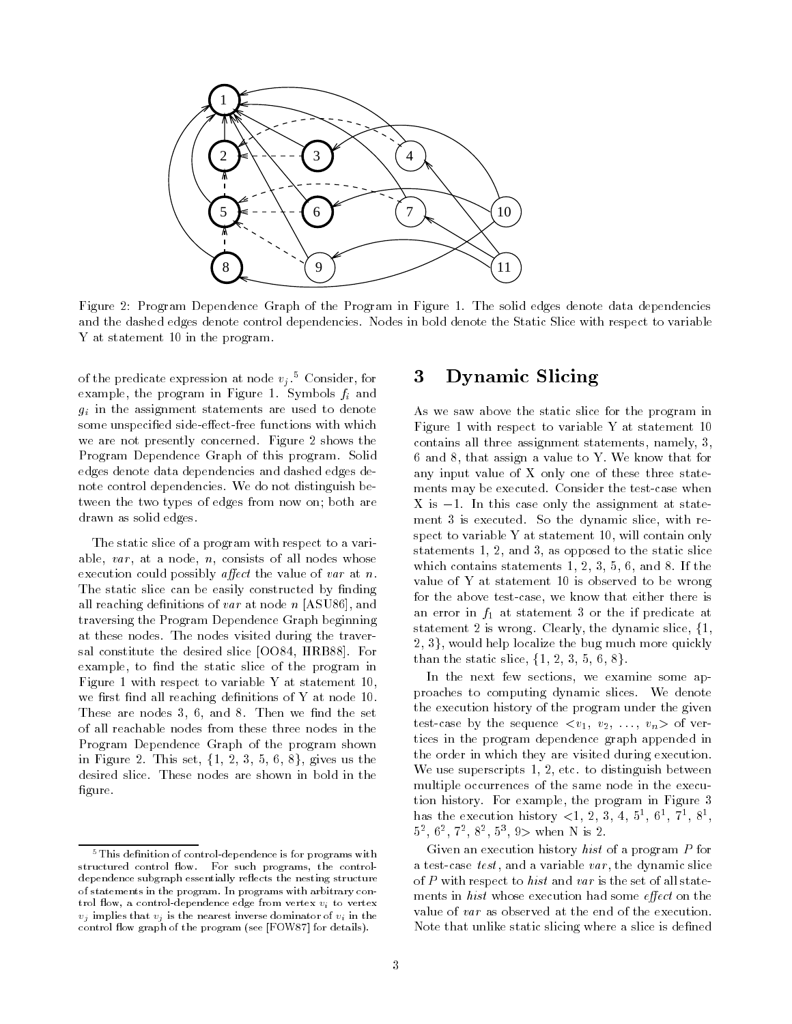

Figure 2: Program Dependence Graph of the Program in Figure 1. The solid edges denote data dependencies and the dashed edges denote control dependencies. Nodes in bold denote the Static Slice with respect to variable Y at statement 10 in the program.

of the predicate expression at node  $v_j$ .<sup>5</sup> Consider, for example, the program in Figure 1. Symbols  $f_i$  and  $g_i$  in the assignment statements are used to denote some unspecified side-effect-free functions with which we are not presently concerned. Figure 2 shows the Program Dependence Graph of this program. Solid edges denote data dependencies and dashed edges denote control dependencies. We do not distinguish between the two types of edges from now on; both are drawn as solid edges.

The static slice of a program with respect to a variable,  $var$ , at a node,  $n$ , consists of all nodes whose execution could possibly *affect* the value of var at n. The static slice can be easily constructed by finding all reaching definitions of var at node  $n$  [ASU86], and traversing the Program Dependence Graph beginning at these nodes. The nodes visited during the traversal constitute the desired slice [OO84, HRB88]. For example, to find the static slice of the program in Figure 1 with respect to variable Y at statement 10, we first find all reaching definitions of  $Y$  at node 10. These are nodes  $3, 6,$  and  $8$ . Then we find the set of all reachable nodes from these three nodes in the Program Dependence Graph of the program shown in Figure 2. This set,  $\{1, 2, 3, 5, 6, 8\}$ , gives us the desired slice. These nodes are shown in bold in the figure.

## 3 Dynamic Slicing

As we saw above the static slice for the program in Figure 1 with respect to variable Y at statement 10 contains all three assignment statements, namely, 3, 6 and 8, that assign a value to Y. We know that for any input value of X only one of these three state ments may be executed. Consider the test-case when X is  $-1$ . In this case only the assignment at statement 3 is executed. So the dynamic slice, with respect to variable Y at statement 10, will contain only statements 1, 2, and 3, as opposed to the static slice which contains statements 1, 2, 3, 5, 6, and 8. If the value of Y at statement 10 is observed to be wrong for the above test-case, we know that either there is an error in  $f_1$  at statement 3 or the if predicate at statement 2 is wrong. Clearly, the dynamic slice, f1,  $2, 3$ , would help localize the bug much more quickly than the static slice,  $\{1, 2, 3, 5, 6, 8\}.$ 

In the next few sections, we examine some approaches to computing dynamic slices. We denote the execution history of the program under the given test-case by the sequence  $\langle v_1, v_2, \ldots, v_n \rangle$  of vertices in the program dependence graph appended in the order in which they are visited during execution. We use superscripts 1, 2, etc. to distinguish between multiple occurrences of the same node in the execution history. For example, the program in Figure 3 nas the execution history  $\lt 1, 2, 3, 4, 5^{\circ}, 6^{\circ}, 7^{\circ}, 8^{\circ}, \ldots$ 52 , 62 , 72 , 82 , 53 , 9> when N is 2.

Given an execution history hist of a program <sup>P</sup> for a test-case  $test$ , and a variable  $var$ , the dynamic slice of P with respect to hist and var is the set of all statements in *hist* whose execution had some *effect* on the value of var as observed at the end of the execution. Note that unlike static slicing where a slice is defined

 $5$ This definition of control-dependence is for programs with structured control flow. For such programs, the controldependence subgraph essentially reflects the nesting structure of statements in the program. In programs with arbitrary control flow, a control-dependence edge from vertex  $v_i$  to vertex  $v_j$  implies that  $v_j$  is the nearest inverse dominator of  $v_i$  in the control flow graph of the program (see [FOW87] for details).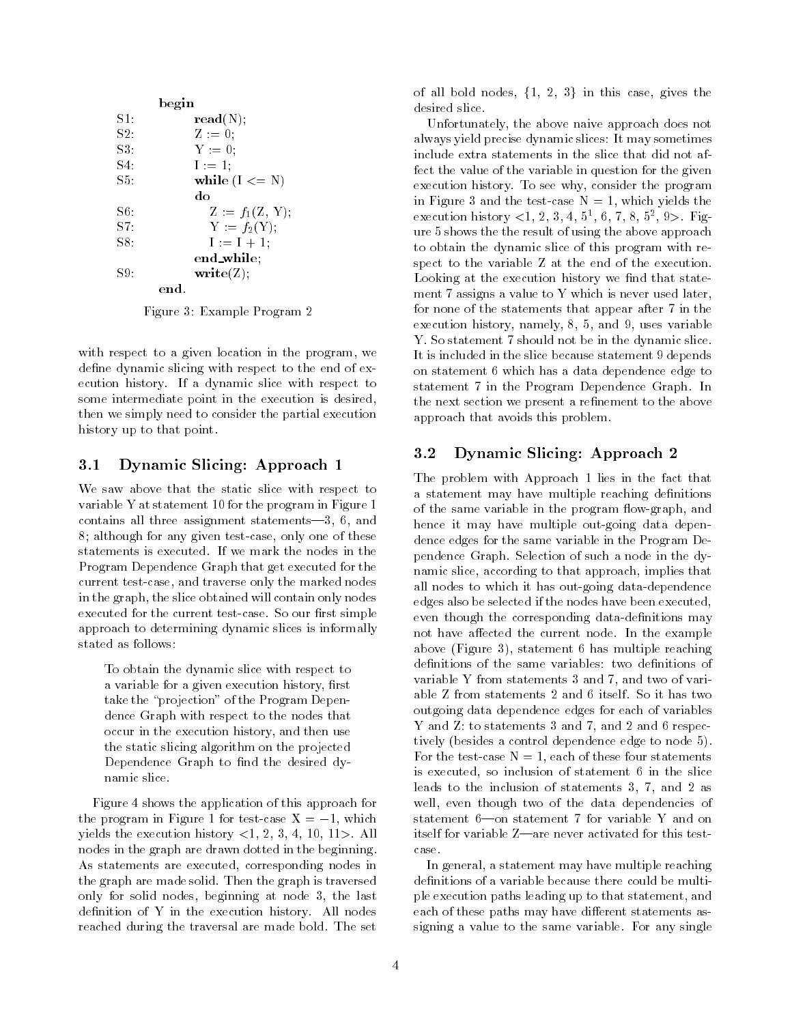|        | begin                 |  |
|--------|-----------------------|--|
| $S1$ : | $\mathbf{read}(N);$   |  |
| S2     | $Z := 0$ ;            |  |
| $S3$ . | $Y := 0$ ;            |  |
| S4.    | $I := 1$ ;            |  |
| $S5$ . | while $(I \leq N)$    |  |
|        | do                    |  |
| S6.    | $Z := f_1(Z, Y);$     |  |
| S7:    | $Y := f_2(Y);$        |  |
| S8.    | $I := I + 1;$         |  |
|        | end_while;            |  |
| S9.    | $\textbf{write}(Z)$ ; |  |
|        | end-                  |  |

Figure 3: Example Program 2

with respect to a given location in the program, we define dynamic slicing with respect to the end of execution history. If a dynamic slice with respect to some intermediate point in the execution is desired, then we simply need to consider the partial execution history up to that point.

#### 3.1 Dynamic Slicing: Approach 1

We saw above that the static slice with respect to variable Y at statement 10 for the program in Figure 1 contains all three assignment statements—3, 6, and 8; although for any given test-case, only one of these statements is executed. If we mark the nodes in the Program Dependence Graph that get executed for the current test-case, and traverse only the marked nodes in the graph, the slice obtained will contain only nodes executed for the current test-case. So our first simple approach to determining dynamic slices is informally stated as follows:

To obtain the dynamic slice with respect to a variable for a given execution history, first take the "projection" of the Program Dependence Graph with respect to the nodes that occur in the execution history, and then use the static slicing algorithm on the projected Dependence Graph to find the desired dynamic slice.

Figure 4 shows the application of this approach for the program in Figure 1 for test-case  $X = -1$ , which yields the execution history  $<1$ , 2, 3, 4, 10, 11>. All nodes in the graph are drawn dotted in the beginning. As statements are executed, corresponding nodes in the graph are made solid. Then the graph is traversed only for solid nodes, beginning at node 3, the last definition of Y in the execution history. All nodes reached during the traversal are made bold. The set of all bold nodes,  $\{1, 2, 3\}$  in this case, gives the desired slice.

Unfortunately, the above naive approach does not always yield precise dynamic slices: It may sometimes include extra statements in the slice that did not affect the value of the variable in question for the given execution history. To see why, consider the program in Figure 3 and the test-case  $N = 1$ , which yields the execution history  $\lt 1, 2, 3, 4, 5, 0, 7, 8, 5, 9$ ,  $\gt 1$  rigure 5 shows the the result of using the above approach to obtain the dynamic slice of this program with respect to the variable Z at the end of the execution. Looking at the execution history we find that statement 7 assigns a value to Y which is never used later, for none of the statements that appear after 7 in the execution history, namely, 8, 5, and 9, uses variable Y. So statement 7 should not be in the dynamic slice. It is included in the slice because statement 9 depends on statement 6 which has a data dependence edge to statement 7 in the Program Dependence Graph. In the next section we present a refinement to the above approach that avoids this problem.

#### 3.2 Dynamic Slicing: Approach 2

The problem with Approach 1 lies in the fact that a statement may have multiple reaching definitions of the same variable in the program flow-graph, and hence it may have multiple out-going data dependence edges for the same variable in the Program Dependence Graph. Selection of such a node in the dynamic slice, according to that approach, implies that all nodes to which it has out-going data-dependence edges also be selected if the nodes have been executed, even though the corresponding data-definitions may not have affected the current node. In the example above (Figure 3), statement 6 has multiple reaching definitions of the same variables: two definitions of variable Y from statements 3 and 7, and two of variable Z from statements 2 and 6 itself. So it has two outgoing data dependence edges for each of variables Y and Z: to statements 3 and 7, and 2 and 6 respectively (besides a control dependence edge to node 5). For the test-case  $N = 1$ , each of these four statements is executed, so inclusion of statement 6 in the slice leads to the inclusion of statements 3, 7, and 2 as well, even though two of the data dependencies of statement  $6\text{—on statement } 7$  for variable Y and on itself for variable  $Z$ —are never activated for this testcase.

In general, a statement may have multiple reaching definitions of a variable because there could be multiple execution paths leading up to that statement, and each of these paths may have different statements assigning a value to the same variable. For any single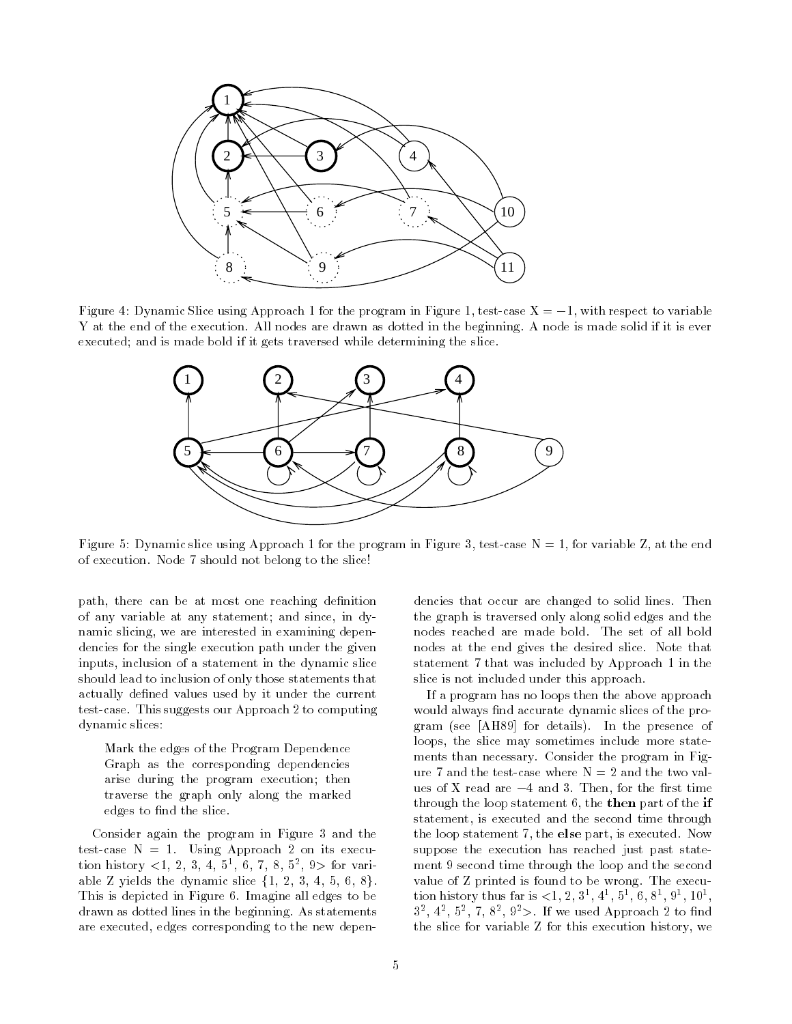

Figure 4: Dynamic Slice using Approach 1 for the program in Figure 1, test-case  $X = -1$ , with respect to variable Y at the end of the execution. All nodes are drawn as dotted in the beginning. A node is made solid if it is ever executed; and is made bold if it gets traversed while determining the slice.



Figure 5: Dynamic slice using Approach 1 for the program in Figure 3, test-case  $N = 1$ , for variable Z, at the end of execution. Node 7 should not belong to the slice!

path, there can be at most one reaching definition of any variable at any statement; and since, in dynamic slicing, we are interested in examining dependencies for the single execution path under the given inputs, inclusion of a statement in the dynamic slice should lead to inclusion of only those statements that actually defined values used by it under the current test-case. This suggests our Approach 2 to computing dynamic slices:

Mark the edges of the Program Dependence Graph as the corresponding dependencies arise during the program execution; then traverse the graph only along the marked edges to find the slice.

Consider again the program in Figure 3 and the test-case  $N = 1$ . Using Approach 2 on its execution history <1, 2, 3, 4, 5<sup>1</sup> , 6, 7, 8, 52 , 9> for variable Z yields the dynamic slice  $\{1, 2, 3, 4, 5, 6, 8\}.$ This is depicted in Figure 6. Imagine all edges to be drawn as dotted lines in the beginning. As statements are executed, edges corresponding to the new depen-

dencies that occur are changed to solid lines. Then the graph is traversed only along solid edges and the nodes reached are made bold. The set of all bold nodes at the end gives the desired slice. Note that statement 7 that was included by Approach 1 in the slice is not included under this approach.

If a program has no loops then the above approach would always find accurate dynamic slices of the program (see [AH89] for details). In the presence of loops, the slice may sometimes include more state ments than necessary. Consider the program in Figure 7 and the test-case where  $N = 2$  and the two values of X read are  $-4$  and 3. Then, for the first time through the loop statement 6, the then part of the if statement, is executed and the second time through the loop statement 7, the else part, is executed. Now suppose the execution has reached just past state ment 9 second time through the loop and the second value of Z printed is found to be wrong. The execution history thus far is  $\lt 1, 2, 3, 4, 3, 0, 0, 0, 3, 10, 10$  $3^-$ ,  $4^-$ ,  $3^-$ ,  $1$ ,  $8^-$ ,  $3^-$ ,  $2^-$ . If we used Approach  $2$  to find the slice for variable Z for this execution history, we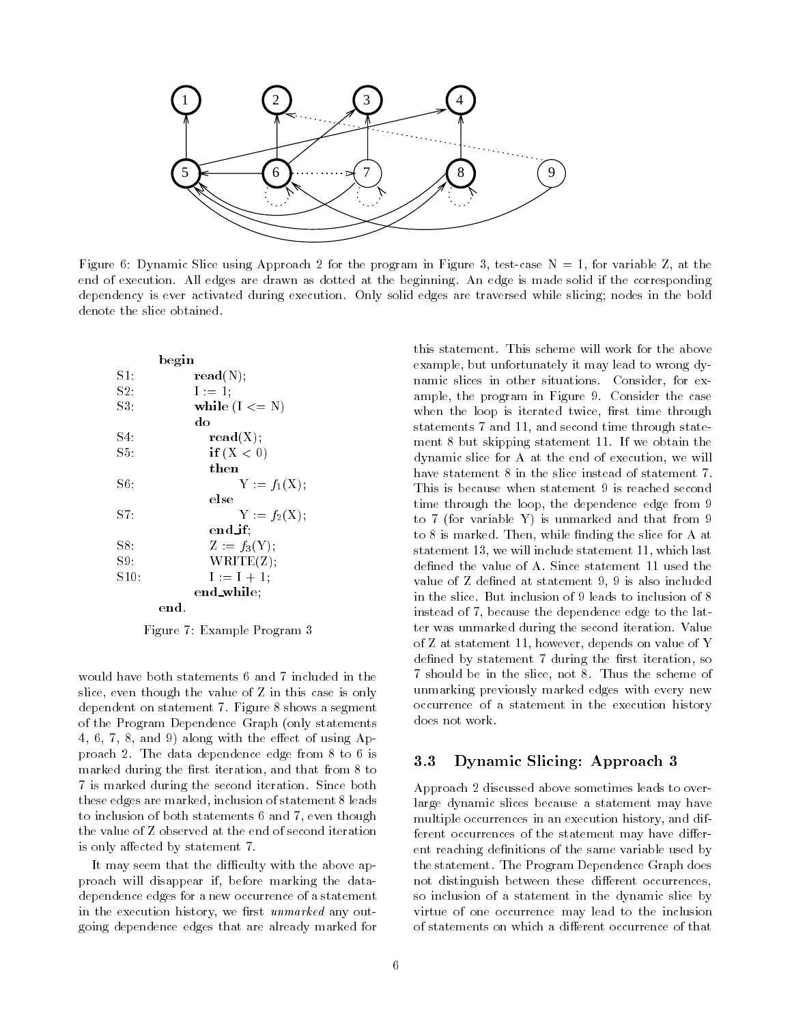

Figure 6: Dynamic Slice using Approach 2 for the program in Figure 3, test-case  $N = 1$ , for variable Z, at the end of execution. All edges are drawn as dotted at the beginning. An edge is made solid if the corresponding dependency is ever activated during execution. Only solid edges are traversed while slicing; nodes in the bold denote the slice obtained.

|         | begin |                     |
|---------|-------|---------------------|
| S1.     |       | $\mathbf{read}(N);$ |
| S2.     |       | $I := 1;$           |
| S3      |       | while $(I \leq N)$  |
|         |       | do                  |
| S4.     |       | $\mathbf{read}(X);$ |
| $S5$ .  |       | if $(X < 0)$        |
|         |       | then                |
| S6:     |       | $Y := f_1(X);$      |
|         |       | else                |
| S7.     |       | $Y = f_2(X)$ ;      |
|         |       | end_if:             |
| S8.     |       | $Z := f_3(Y);$      |
| S9      |       | WRITE(Z);           |
| $S10$ : |       | $I := I + 1.$       |
|         |       | end_while;          |
|         | end.  |                     |

Figure 7: Example Program 3

would have both statements 6 and 7 included in the slice, even though the value of Z in this case is only dependent on statement 7. Figure 8 shows a segment of the Program Dependence Graph (only statements  $4, 6, 7, 8,$  and 9) along with the effect of using Approach 2. The data dependence edge from 8 to 6 is marked during the first iteration, and that from 8 to 7 is marked during the second iteration. Since both these edges are marked, inclusion of statement 8 leads to inclusion of both statements 6 and 7, even though the value of Z observed at the end of second iteration is only affected by statement 7.

It may seem that the difficulty with the above approach will disappear if, before marking the datadependence edges for a new occurrence of a statement in the execution history, we first unmarked any outgoing dependence edges that are already marked for

this statement. This scheme will work for the above example, but unfortunately it may lead to wrong dynamic slices in other situations. Consider, for example, the program in Figure 9. Consider the case when the loop is iterated twice, first time through statements 7 and 11, and second time through state ment 8 but skipping statement 11. If we obtain the dynamic slice for A at the end of execution, we will have statement 8 in the slice instead of statement 7. This is because when statement 9 is reached second time through the loop, the dependence edge from 9 to 7 (for variable Y) is unmarked and that from 9 to 8 is marked. Then, while finding the slice for A at statement 13, we will include statement 11, which last defined the value of A. Since statement 11 used the value of Z defined at statement 9, 9 is also included in the slice. But inclusion of 9 leads to inclusion of 8 instead of 7, because the dependence edge to the latter was unmarked during the second iteration. Value of Z at statement 11, however, depends on value of Y defined by statement 7 during the first iteration, so 7 should be in the slice, not 8. Thus the scheme of unmarking previously marked edges with every new occurrence of a statement in the execution history does not work.

#### 3.3 Dynamic Slicing: Approach 3

Approach 2 discussed above sometimes leads to overlarge dynamic slices because a statement may have multiple occurrences in an execution history, and different occurrences of the statement may have different reaching definitions of the same variable used by the statement. The Program Dependence Graph does not distinguish between these different occurrences, so inclusion of a statement in the dynamic slice by virtue of one occurrence may lead to the inclusion of statements on which a different occurrence of that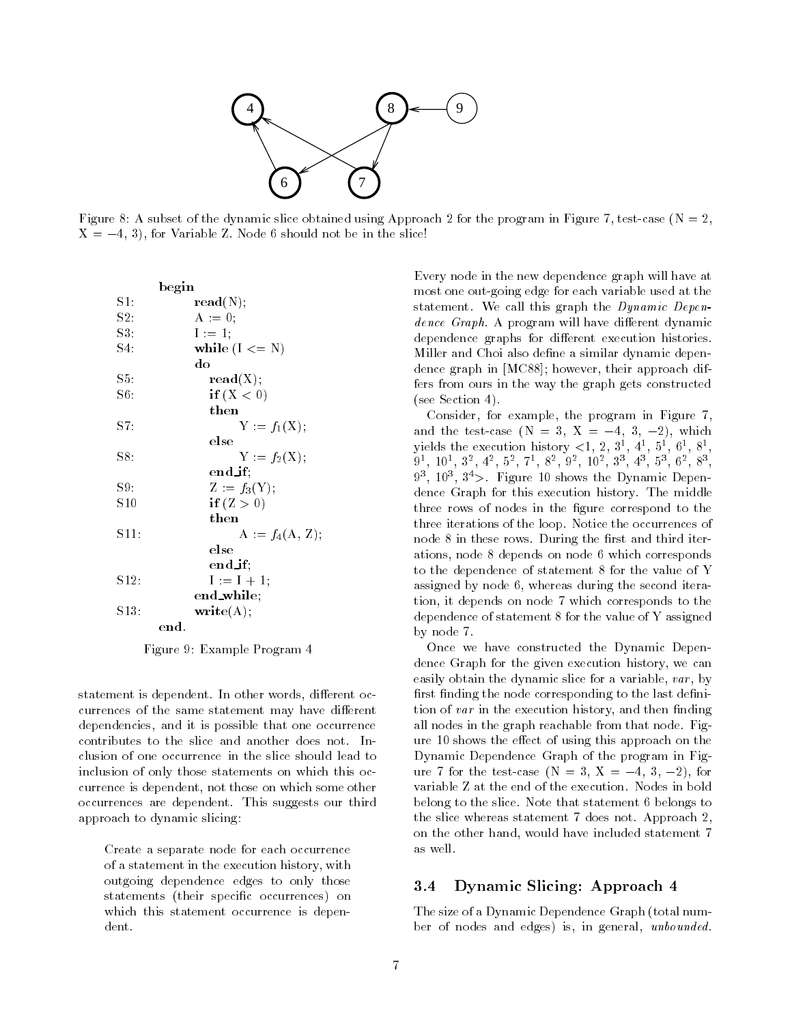

Figure 8: A subset of the dynamic slice obtained using Approach 2 for the program in Figure 7, test-case ( $N = 2$ ,  $X = -4, 3$ , for Variable Z. Node 6 should not be in the slice!

|                 | begin                  |
|-----------------|------------------------|
| $\mathrm{S}1$ : | $\mathbf{read}(N);$    |
| S2.             | $A := 0$ ;             |
| S3              | $1 := 1$ ;             |
| $S4$ .          | while $(I \leq N)$     |
|                 | do                     |
| S5.             | $\mathbf{read}(X);$    |
| S6:             | if $(X < 0)$           |
|                 | then                   |
| $^{\rm S7}$ .   | $Y := f_1(X);$         |
|                 | else                   |
| S8:             | $Y := f_2(X),$         |
|                 | $end$ if:              |
| S9.             | $Z := f_3(Y);$         |
| S <sub>10</sub> | if $(Z > 0)$           |
|                 | then                   |
| S11:            | $A := f_4(A, Z);$      |
|                 | else                   |
|                 | $end$ if:              |
| S12.            | $I := I + 1;$          |
|                 | $\mathbf{end\_while};$ |
| $S13$ :         | $\textbf{write}(A);$   |
|                 | end.                   |

Figure 9: Example Program 4

statement is dependent. In other words, different occurrences of the same statement may have different dependencies, and it is possible that one occurrence contributes to the slice and another does not. Inclusion of one occurrence in the slice should lead to inclusion of only those statements on which this occurrence is dependent, not those on which some other occurrences are dependent. This suggests our third approach to dynamic slicing:

Create a separate node for each occurrence of a statement in the execution history, with outgoing dependence edges to only those statements (their specific occurrences) on which this statement occurrence is dependent.

Every node in the new dependence graph will have at most one out-going edge for each variable used at the statement. We call this graph the Dynamic Depen- $\emph{dence Graph. A program will have different dynamic}$ dependence graphs for different execution histories. Miller and Choi also define a similar dynamic dependence graph in [MC88]; however, their approach differs from ours in the way the graph gets constructed (see Section 4).

Consider, for example, the program in Figure 7, and the test-case  $(N = 3, X = -4, 3, -2)$ , which yields the execution history  $\lt 1, 2, 3, 4, 3, 0, 0, 8, 0$  $9^-$ ,  $10^-$ ,  $3^-$ ,  $4^-$ ,  $9^-$ ,  $1^-$ ,  $8^-$ ,  $9^-$ ,  $10^-$ ,  $3^-$ ,  $4^-$ ,  $9^-$ ,  $9^-$ ,  $8^-$ ,  $9^-$ 93 , 103 , 34>. Figure 10 shows the Dynamic Dependence Graph for this execution history. The middle three rows of nodes in the figure correspond to the three iterations of the loop. Notice the occurrences of node 8 in these rows. During the first and third iterations, node 8 depends on node 6 which corresponds to the dependence of statement 8 for the value of Y assigned by node 6, whereas during the second iteration, it depends on node 7 which corresponds to the dependence of statement 8 for the value of Y assigned by node 7.

Once we have constructed the Dynamic Dependence Graph for the given execution history, we can easily obtain the dynamic slice for a variable, var, by first finding the node corresponding to the last definition of var in the execution history, and then finding all nodes in the graph reachable from that node. Figure 10 shows the effect of using this approach on the Dynamic Dependence Graph of the program in Figure 7 for the test-case  $(N = 3, X = -4, 3, -2)$ , for variable Z at the end of the execution. Nodes in bold belong to the slice. Note that statement 6 belongs to the slice whereas statement 7 does not. Approach 2, on the other hand, would have included statement 7 as well.

### 3.4 Dynamic Slicing: Approach 4

The size of a Dynamic Dependence Graph (total number of nodes and edges) is, in general, unbounded.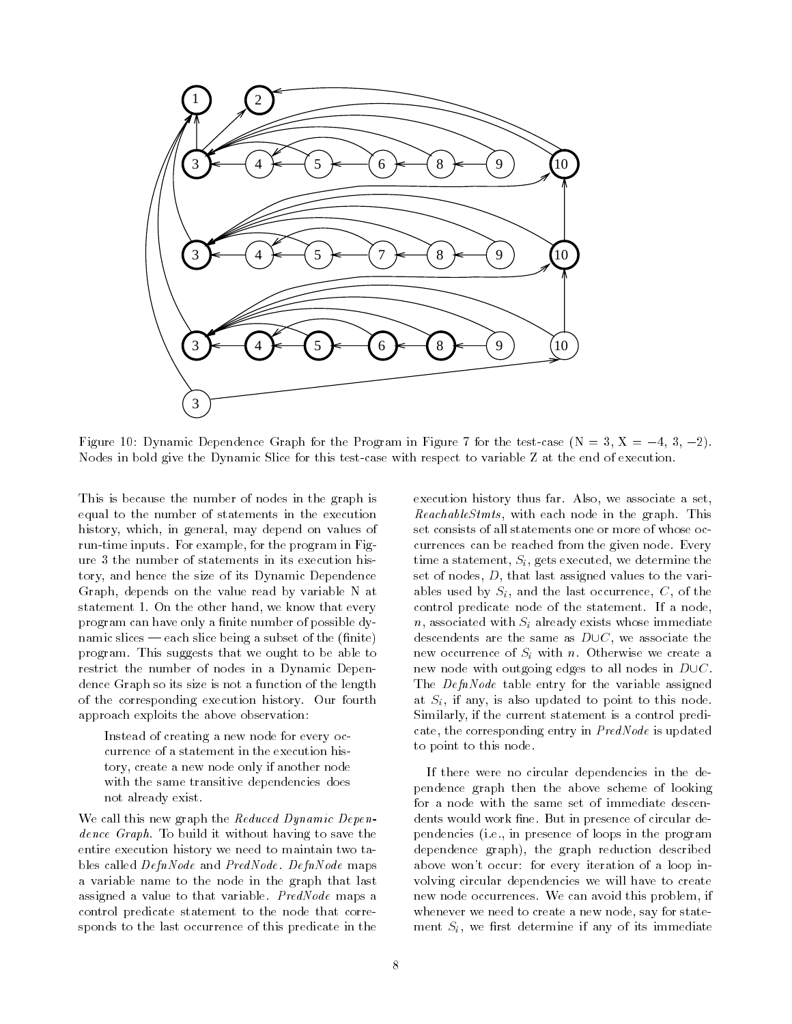

Figure 10: Dynamic Dependence Graph for the Program in Figure 7 for the test-case  $(N = 3, X = -4, 3, -2)$ . Nodes in bold give the Dynamic Slice for this test-case with respect to variable Z at the end of execution.

This is because the number of nodes in the graph is equal to the number of statements in the execution history, which, in general, may depend on values of run-time inputs. For example, for the program in Figure 3 the number of statements in its execution history, and hence the size of its Dynamic Dependence Graph, depends on the value read by variable N at statement 1. On the other hand, we know that every program can have only a finite number of possible dynamic slices  $-$  each slice being a subset of the (finite) program. This suggests that we ought to be able to restrict the number of nodes in a Dynamic Dependence Graph so its size is not a function of the length of the corresponding execution history. Our fourth approach exploits the above observation:

Instead of creating a new node for every occurrence of a statement in the execution history, create a new node only if another node with the same transitive dependencies does not already exist.

We call this new graph the Reduced Dynamic Dependence Graph. To build it without having to save the entire execution history we need to maintain two tables called DefnNode and PredNode. DefnNode maps a variable name to the node in the graph that last assigned a value to that variable. PredNode maps a control predicate statement to the node that corresponds to the last occurrence of this predicate in the execution history thus far. Also, we associate a set, ReachableStmts, with each node in the graph. This set consists of all statements one or more of whose occurrences can be reached from the given node. Every time a statement,  $S_i$ , gets executed, we determine the set of nodes, D, that last assigned values to the variables used by  $S_i$ , and the last occurrence, C, of the control predicate node of the statement. If a node,  $n$ , associated with  $S_i$  already exists whose immediate descendents are the same as  $D\cup C$ , we associate the new occurrence of  $S_i$  with n. Otherwise we create a new node with outgoing edges to all nodes in  $D\cup C$ . The *DefnNode* table entry for the variable assigned at  $S_i$ , if any, is also updated to point to this node. Similarly, if the current statement is a control predicate, the corresponding entry in PredNode is updated to point to this node.

If there were no circular dependencies in the dependence graph then the above scheme of looking for a node with the same set of immediate descendents would work fine. But in presence of circular dependencies (i.e., in presence of loops in the program dependence graph), the graph reduction described above won't occur: for every iteration of a loop involving circular dependencies we will have to create new node occurrences. We can avoid this problem, if whenever we need to create a new node, say for state ment  $S_i$ , we first determine if any of its immediate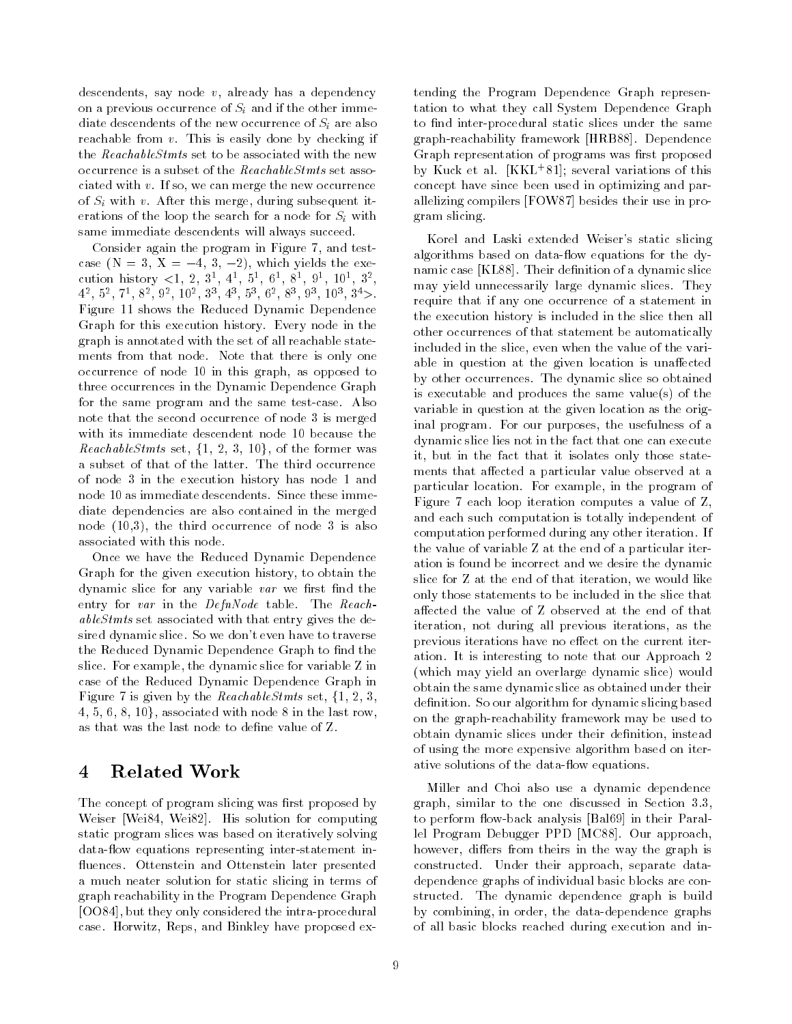descendents, say node v, already has a dependency on a previous occurrence of  $S_i$  and if the other immediate descendents of the new occurrence of  $S_i$  are also reachable from v. This is easily done by checking if the ReachableStmts set to be associated with the new occurrence is a subset of the ReachableStmts set associated with v. If so, we can merge the new occurrence of  $S_i$  with v. After this merge, during subsequent iterations of the loop the search for a node for  $S_i$  with same immediate descendents will always succeed.

Consider again the program in Figure 7, and testcase  $(N = 3, X = -4, 3, -2)$ , which yields the execution history  $\lt 1, 2, 3, 4, 3, 0, 0, 3, 3, 10, 3,$  $4^-$ ,  $3^-$ ,  $1^-$ ,  $3^-$ ,  $3^-$ ,  $10^-$ ,  $3^-$ ,  $4^-$ ,  $3^-$ ,  $0^-$ ,  $3^-$ ,  $3^-$ ,  $10^-$ ,  $3^-$ Figure 11 shows the Reduced Dynamic Dependence Graph for this execution history. Every node in the graph is annotated with the set of all reachable state ments from that node. Note that there is only one occurrence of node 10 in this graph, as opposed to three occurrences in the Dynamic Dependence Graph for the same program and the same test-case. Also note that the second occurrence of node 3 is merged with its immediate descendent node 10 because the *ReachableStmts* set,  $\{1, 2, 3, 10\}$ , of the former was a subset of that of the latter. The third occurrence of node 3 in the execution history has node 1 and node 10 as immediate descendents. Since these immediate dependencies are also contained in the merged node (10,3), the third occurrence of node 3 is also associated with this node.

Once we have the Reduced Dynamic Dependence Graph for the given execution history, to obtain the dynamic slice for any variable  $var$  we first find the entry for var in the DefnNode table. The ReachableStmts set associated with that entry gives the desired dynamic slice. So we don't even have to traverse the Reduced Dynamic Dependence Graph to find the slice. For example, the dynamic slice for variable Z in case of the Reduced Dynamic Dependence Graph in Figure 7 is given by the *ReachableStmts* set,  $\{1, 2, 3, \}$  $4, 5, 6, 8, 10$ , associated with node 8 in the last row, as that was the last node to define value of Z.

#### $\overline{4}$ Related Work

The concept of program slicing was first proposed by Weiser [Wei84, Wei82]. His solution for computing static program slices was based on iteratively solving data-flow equations representing inter-statement influences. Ottenstein and Ottenstein later presented a much neater solution for static slicing in terms of graph reachability in the Program Dependence Graph [OO84], but they only considered the intra-procedural case. Horwitz, Reps, and Binkley have proposed extending the Program Dependence Graph representation to what they call System Dependence Graph to find inter-procedural static slices under the same graph-reachability framework [HRB88]. Dependence Graph representation of programs was first proposed by Kuck et al. [KKL+ 81]; several variations of this concept have since been used in optimizing and parallelizing compilers [FOW87] besides their use in program slicing.

Korel and Laski extended Weiser's static slicing algorithms based on data-flow equations for the dynamic case [KL88]. Their definition of a dynamic slice may yield unnecessarily large dynamic slices. They require that if any one occurrence of a statement in the execution history is included in the slice then all other occurrences of that statement be automatically included in the slice, even when the value of the variable in question at the given location is unaffected by other occurrences. The dynamic slice so obtained is executable and produces the same value(s) of the variable in question at the given location as the original program. For our purposes, the usefulness of a dynamic slice lies not in the fact that one can execute it, but in the fact that it isolates only those state ments that affected a particular value observed at a particular location. For example, in the program of Figure 7 each loop iteration computes a value of Z, and each such computation is totally independent of computation performed during any other iteration. If the value of variable Z at the end of a particular iteration is found be incorrect and we desire the dynamic slice for Z at the end of that iteration, we would like only those statements to be included in the slice that affected the value of Z observed at the end of that iteration, not during all previous iterations, as the previous iterations have no effect on the current iteration. It is interesting to note that our Approach 2 (which may yield an overlarge dynamic slice) would obtain the same dynamic slice as obtained under their definition. So our algorithm for dynamic slicing based on the graph-reachability framework may be used to obtain dynamic slices under their definition, instead of using the more expensive algorithm based on iterative solutions of the data-flow equations.

Miller and Choi also use a dynamic dependence graph, similar to the one discussed in Section 3.3, to perform flow-back analysis [Bal69] in their Parallel Program Debugger PPD [MC88]. Our approach, however, differs from theirs in the way the graph is constructed. Under their approach, separate datadependence graphs of individual basic blocks are constructed. The dynamic dependence graph is build by combining, in order, the data-dependence graphs of all basic blocks reached during execution and in-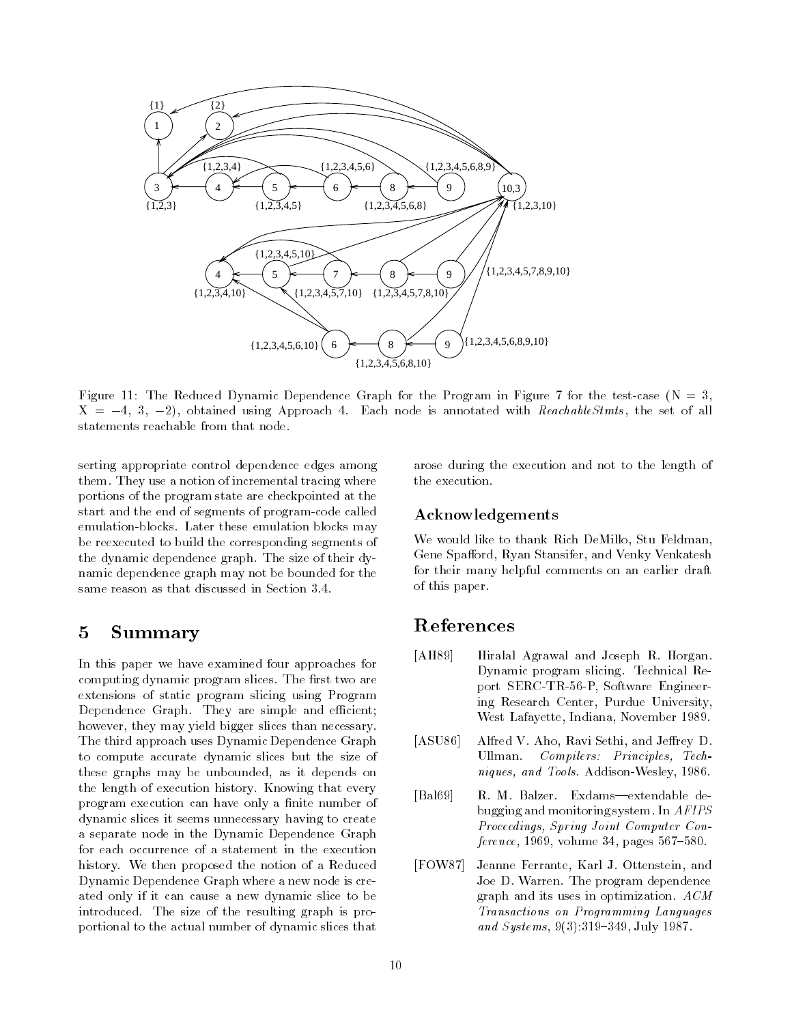

Figure 11: The Reduced Dynamic Dependence Graph for the Program in Figure 7 for the test-case  $(N = 3,$  $X = -4, 3, -2$ , obtained using Approach 4. Each node is annotated with ReachableStmts, the set of all statements reachable from that node.

serting appropriate control dependence edges among them. They use a notion of incremental tracing where portions of the program state are checkpointed at the start and the end of segments of program-code called emulation-blocks. Later these emulation blocks may be reexecuted to build the corresponding segments of the dynamic dependence graph. The size of their dynamic dependence graph may not be bounded for the same reason as that discussed in Section 3.4.

# 5 Summary

In this paper we have examined four approaches for computing dynamic program slices. The first two are extensions of static program slicing using Program Dependence Graph. They are simple and efficient; however, they may yield bigger slices than necessary. The third approach uses Dynamic Dependence Graph to compute accurate dynamic slices but the size of these graphs may be unbounded, as it depends on the length of execution history. Knowing that every program execution can have only a finite number of dynamic slices it seems unnecessary having to create a separate node in the Dynamic Dependence Graph for each occurrence of a statement in the execution history. We then proposed the notion of a Reduced Dynamic Dependence Graph where a new node is created only if it can cause a new dynamic slice to be introduced. The size of the resulting graph is proportional to the actual number of dynamic slices that

arose during the execution and not to the length of

### Acknowledgements

We would like to thank Rich DeMillo, Stu Feldman, Gene Spafford, Ryan Stansifer, and Venky Venkatesh for their many helpful comments on an earlier draft of this paper.

## References

- [AH89] Hiralal Agrawal and Joseph R. Horgan. Dynamic program slicing. Technical Report SERC-TR-56-P, Software Engineering Research Center, Purdue University, West Lafayette, Indiana, November 1989.
- [ASU86] Alfred V. Aho, Ravi Sethi, and Jeffrey D. Ullman. Compilers: Principles, Techniques, and Tools. Addison-Wesley, 1986.
- [Bal69] R. M. Balzer. Exdams-extendable debugging and monitoring system. In AFIPS Proceedings, Spring Joint Computer Con $ference, 1969, volume 34, pages 567-580.$
- [FOW87] Jeanne Ferrante, Karl J. Ottenstein, and Joe D. Warren. The program dependence graph and its uses in optimization. ACM Transactions on Programming Languages and Systems,  $9(3):319-349$ , July 1987.